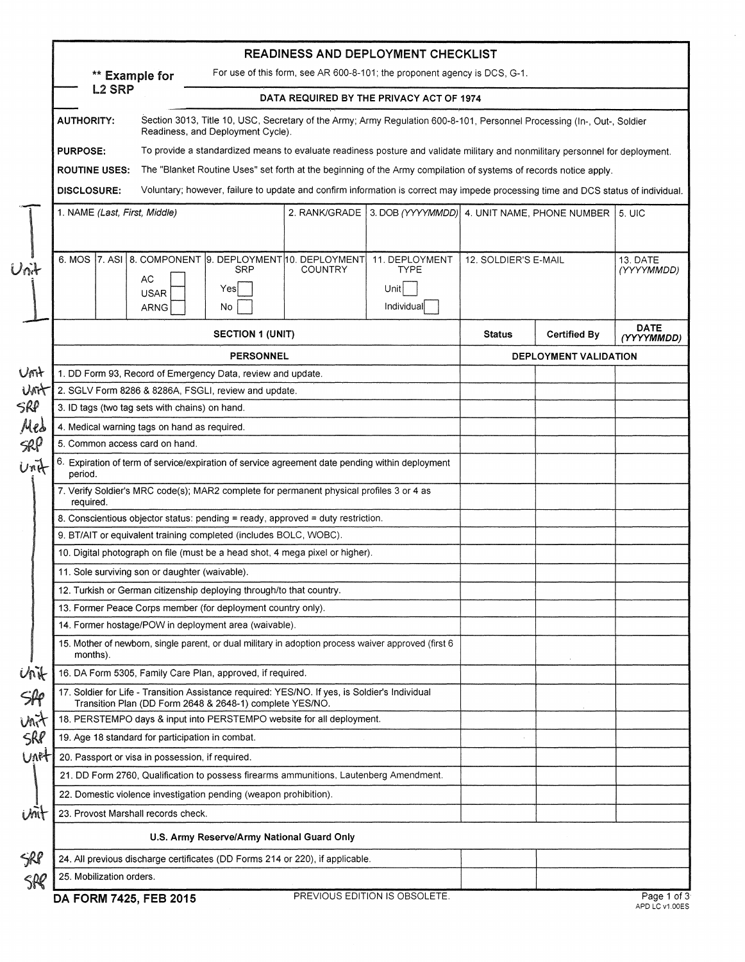|                                                                                             |                                                                                                                                                              |                                                                                                     |                | <b>READINESS AND DEPLOYMENT CHECKLIST</b>                                                                                         |                       |                     |                           |
|---------------------------------------------------------------------------------------------|--------------------------------------------------------------------------------------------------------------------------------------------------------------|-----------------------------------------------------------------------------------------------------|----------------|-----------------------------------------------------------------------------------------------------------------------------------|-----------------------|---------------------|---------------------------|
| For use of this form, see AR 600-8-101; the proponent agency is DCS, G-1.<br>** Example for |                                                                                                                                                              |                                                                                                     |                |                                                                                                                                   |                       |                     |                           |
|                                                                                             | <b>L2 SRP</b><br>DATA REQUIRED BY THE PRIVACY ACT OF 1974                                                                                                    |                                                                                                     |                |                                                                                                                                   |                       |                     |                           |
| <b>AUTHORITY:</b>                                                                           | Section 3013, Title 10, USC, Secretary of the Army; Army Regulation 600-8-101, Personnel Processing (In-, Out-, Soldier<br>Readiness, and Deployment Cycle). |                                                                                                     |                |                                                                                                                                   |                       |                     |                           |
| <b>PURPOSE:</b>                                                                             |                                                                                                                                                              |                                                                                                     |                | To provide a standardized means to evaluate readiness posture and validate military and nonmilitary personnel for deployment.     |                       |                     |                           |
| <b>ROUTINE USES:</b>                                                                        |                                                                                                                                                              |                                                                                                     |                | The "Blanket Routine Uses" set forth at the beginning of the Army compilation of systems of records notice apply.                 |                       |                     |                           |
| <b>DISCLOSURE:</b>                                                                          |                                                                                                                                                              |                                                                                                     |                | Voluntary; however, failure to update and confirm information is correct may impede processing time and DCS status of individual. |                       |                     |                           |
| 1. NAME (Last, First, Middle)                                                               |                                                                                                                                                              |                                                                                                     |                | 2. RANK/GRADE   3. DOB (YYYYMMDD)   4. UNIT NAME, PHONE NUMBER                                                                    |                       |                     | $5.$ UIC                  |
|                                                                                             |                                                                                                                                                              |                                                                                                     |                |                                                                                                                                   |                       |                     |                           |
|                                                                                             | AC<br><b>USAR</b><br><b>ARNG</b>                                                                                                                             | 6. MOS 7. ASI 8. COMPONENT 9. DEPLOYMENT 10. DEPLOYMENT<br><b>SRP</b><br>Yes<br>No                  | <b>COUNTRY</b> | 11. DEPLOYMENT<br><b>TYPE</b><br>Unit<br>Individual                                                                               | 12. SOLDIER'S E-MAIL  |                     | 13. DATE<br>(YYYYMMDD)    |
|                                                                                             |                                                                                                                                                              | <b>SECTION 1 (UNIT)</b>                                                                             |                |                                                                                                                                   | <b>Status</b>         | <b>Certified By</b> | <b>DATE</b><br>(YYYYMMDD) |
|                                                                                             | <b>PERSONNEL</b>                                                                                                                                             |                                                                                                     |                |                                                                                                                                   | DEPLOYMENT VALIDATION |                     |                           |
| Unit                                                                                        |                                                                                                                                                              | 1. DD Form 93, Record of Emergency Data, review and update.                                         |                |                                                                                                                                   |                       |                     |                           |
| Unit                                                                                        | 2. SGLV Form 8286 & 8286A, FSGLI, review and update.                                                                                                         |                                                                                                     |                |                                                                                                                                   |                       |                     |                           |
|                                                                                             | 3. ID tags (two tag sets with chains) on hand.                                                                                                               |                                                                                                     |                |                                                                                                                                   |                       |                     |                           |
| Mes                                                                                         | 4. Medical warning tags on hand as required.                                                                                                                 |                                                                                                     |                |                                                                                                                                   |                       |                     |                           |
| SRP                                                                                         | 5. Common access card on hand.                                                                                                                               |                                                                                                     |                |                                                                                                                                   |                       |                     |                           |
| Unit<br>period.                                                                             | 6. Expiration of term of service/expiration of service agreement date pending within deployment                                                              |                                                                                                     |                |                                                                                                                                   |                       |                     |                           |
| required.                                                                                   | 7. Verify Soldier's MRC code(s); MAR2 complete for permanent physical profiles 3 or 4 as                                                                     |                                                                                                     |                |                                                                                                                                   |                       |                     |                           |
|                                                                                             | 8. Conscientious objector status: pending = ready, approved = duty restriction.                                                                              |                                                                                                     |                |                                                                                                                                   |                       |                     |                           |
|                                                                                             | 9. BT/AIT or equivalent training completed (includes BOLC, WOBC).                                                                                            |                                                                                                     |                |                                                                                                                                   |                       |                     |                           |
|                                                                                             |                                                                                                                                                              | 10. Digital photograph on file (must be a head shot, 4 mega pixel or higher).                       |                |                                                                                                                                   |                       |                     |                           |
|                                                                                             | 11. Sole surviving son or daughter (waivable).                                                                                                               |                                                                                                     |                |                                                                                                                                   |                       |                     |                           |
|                                                                                             | 12. Turkish or German citizenship deploying through/to that country.                                                                                         |                                                                                                     |                |                                                                                                                                   |                       |                     |                           |
|                                                                                             | 13. Former Peace Corps member (for deployment country only).                                                                                                 |                                                                                                     |                |                                                                                                                                   |                       |                     |                           |
| 14. Former hostage/POW in deployment area (waivable).                                       |                                                                                                                                                              |                                                                                                     |                |                                                                                                                                   |                       |                     |                           |
| months).                                                                                    |                                                                                                                                                              | 15. Mother of newborn, single parent, or dual military in adoption process waiver approved (first 6 |                |                                                                                                                                   |                       |                     |                           |
| Unit                                                                                        |                                                                                                                                                              | 16. DA Form 5305, Family Care Plan, approved, if required.                                          |                |                                                                                                                                   |                       |                     |                           |
| $\mathcal{S}$                                                                               | 17. Soldier for Life - Transition Assistance required: YES/NO. If yes, is Soldier's Individual<br>Transition Plan (DD Form 2648 & 2648-1) complete YES/NO.   |                                                                                                     |                |                                                                                                                                   |                       |                     |                           |
| Unit                                                                                        | 18. PERSTEMPO days & input into PERSTEMPO website for all deployment.                                                                                        |                                                                                                     |                |                                                                                                                                   |                       |                     |                           |
|                                                                                             | 19. Age 18 standard for participation in combat.                                                                                                             |                                                                                                     |                |                                                                                                                                   |                       |                     |                           |
| Unet                                                                                        | 20. Passport or visa in possession, if required.                                                                                                             |                                                                                                     |                |                                                                                                                                   |                       |                     |                           |
|                                                                                             | 21. DD Form 2760, Qualification to possess firearms ammunitions, Lautenberg Amendment.                                                                       |                                                                                                     |                |                                                                                                                                   |                       |                     |                           |
|                                                                                             | 22. Domestic violence investigation pending (weapon prohibition).                                                                                            |                                                                                                     |                |                                                                                                                                   |                       |                     |                           |
| Unit                                                                                        | 23. Provost Marshall records check.                                                                                                                          |                                                                                                     |                |                                                                                                                                   |                       |                     |                           |
|                                                                                             |                                                                                                                                                              | U.S. Army Reserve/Army National Guard Only                                                          |                |                                                                                                                                   |                       |                     |                           |
| SRP                                                                                         |                                                                                                                                                              | 24. All previous discharge certificates (DD Forms 214 or 220), if applicable.                       |                |                                                                                                                                   |                       |                     |                           |
|                                                                                             |                                                                                                                                                              |                                                                                                     |                |                                                                                                                                   |                       |                     |                           |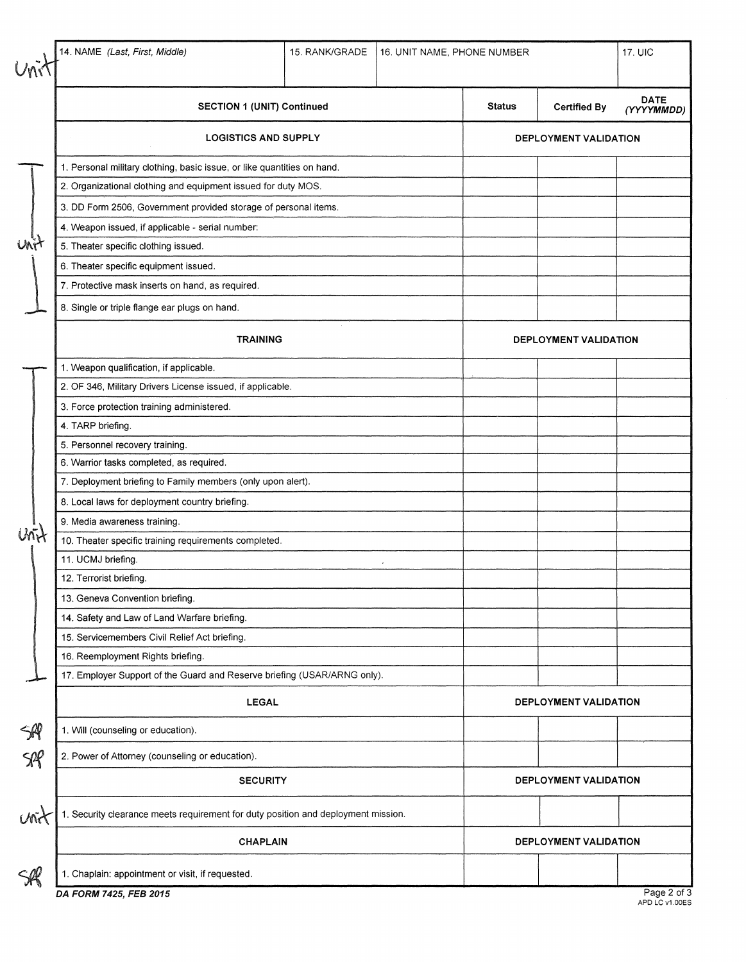×

|                        | 14. NAME (Last, First, Middle)                                                    | 15. RANK/GRADE                                                          | 16. UNIT NAME, PHONE NUMBER |                       |                     | 17. UIC                   |  |
|------------------------|-----------------------------------------------------------------------------------|-------------------------------------------------------------------------|-----------------------------|-----------------------|---------------------|---------------------------|--|
|                        | <b>SECTION 1 (UNIT) Continued</b>                                                 |                                                                         |                             | <b>Status</b>         | <b>Certified By</b> | <b>DATE</b><br>(YYYYMMDD) |  |
|                        | <b>LOGISTICS AND SUPPLY</b>                                                       |                                                                         |                             | DEPLOYMENT VALIDATION |                     |                           |  |
|                        |                                                                                   | 1. Personal military clothing, basic issue, or like quantities on hand. |                             |                       |                     |                           |  |
|                        | 2. Organizational clothing and equipment issued for duty MOS.                     |                                                                         |                             |                       |                     |                           |  |
|                        | 3. DD Form 2506, Government provided storage of personal items.                   |                                                                         |                             |                       |                     |                           |  |
|                        | 4. Weapon issued, if applicable - serial number:                                  |                                                                         |                             |                       |                     |                           |  |
|                        | 5. Theater specific clothing issued.                                              |                                                                         |                             |                       |                     |                           |  |
|                        | 6. Theater specific equipment issued.                                             |                                                                         |                             |                       |                     |                           |  |
|                        | 7. Protective mask inserts on hand, as required.                                  |                                                                         |                             |                       |                     |                           |  |
|                        | 8. Single or triple flange ear plugs on hand.                                     |                                                                         |                             |                       |                     |                           |  |
|                        | <b>TRAINING</b>                                                                   |                                                                         |                             | DEPLOYMENT VALIDATION |                     |                           |  |
|                        | 1. Weapon qualification, if applicable.                                           |                                                                         |                             |                       |                     |                           |  |
|                        | 2. OF 346, Military Drivers License issued, if applicable.                        |                                                                         |                             |                       |                     |                           |  |
|                        | 3. Force protection training administered.                                        |                                                                         |                             |                       |                     |                           |  |
|                        | 4. TARP briefing.                                                                 |                                                                         |                             |                       |                     |                           |  |
|                        | 5. Personnel recovery training.                                                   |                                                                         |                             |                       |                     |                           |  |
|                        | 6. Warrior tasks completed, as required.                                          |                                                                         |                             |                       |                     |                           |  |
|                        | 7. Deployment briefing to Family members (only upon alert).                       |                                                                         |                             |                       |                     |                           |  |
|                        | 8. Local laws for deployment country briefing.                                    |                                                                         |                             |                       |                     |                           |  |
|                        | 9. Media awareness training.                                                      |                                                                         |                             |                       |                     |                           |  |
|                        | 10. Theater specific training requirements completed.                             |                                                                         |                             |                       |                     |                           |  |
|                        | 11. UCMJ briefing.                                                                |                                                                         |                             |                       |                     |                           |  |
|                        | 12. Terrorist briefing.                                                           |                                                                         |                             |                       |                     |                           |  |
|                        | 13. Geneva Convention briefing.                                                   |                                                                         |                             |                       |                     |                           |  |
|                        | 14. Safety and Law of Land Warfare briefing.                                      |                                                                         |                             |                       |                     |                           |  |
|                        | 15. Servicemembers Civil Relief Act briefing.                                     |                                                                         |                             |                       |                     |                           |  |
|                        | 16. Reemployment Rights briefing.                                                 |                                                                         |                             |                       |                     |                           |  |
|                        | 17. Employer Support of the Guard and Reserve briefing (USAR/ARNG only).          |                                                                         |                             |                       |                     |                           |  |
|                        | <b>LEGAL</b>                                                                      |                                                                         |                             | DEPLOYMENT VALIDATION |                     |                           |  |
| SR                     | 1. Will (counseling or education).                                                |                                                                         |                             |                       |                     |                           |  |
| $S\!\!\!\!\!\!\!\!\!R$ | 2. Power of Attorney (counseling or education).                                   |                                                                         |                             |                       |                     |                           |  |
|                        | <b>SECURITY</b>                                                                   | DEPLOYMENT VALIDATION                                                   |                             |                       |                     |                           |  |
| Unit                   | 1. Security clearance meets requirement for duty position and deployment mission. |                                                                         |                             |                       |                     |                           |  |
|                        | <b>CHAPLAIN</b>                                                                   |                                                                         |                             | DEPLOYMENT VALIDATION |                     |                           |  |
|                        | 1. Chaplain: appointment or visit, if requested.                                  |                                                                         |                             |                       |                     |                           |  |